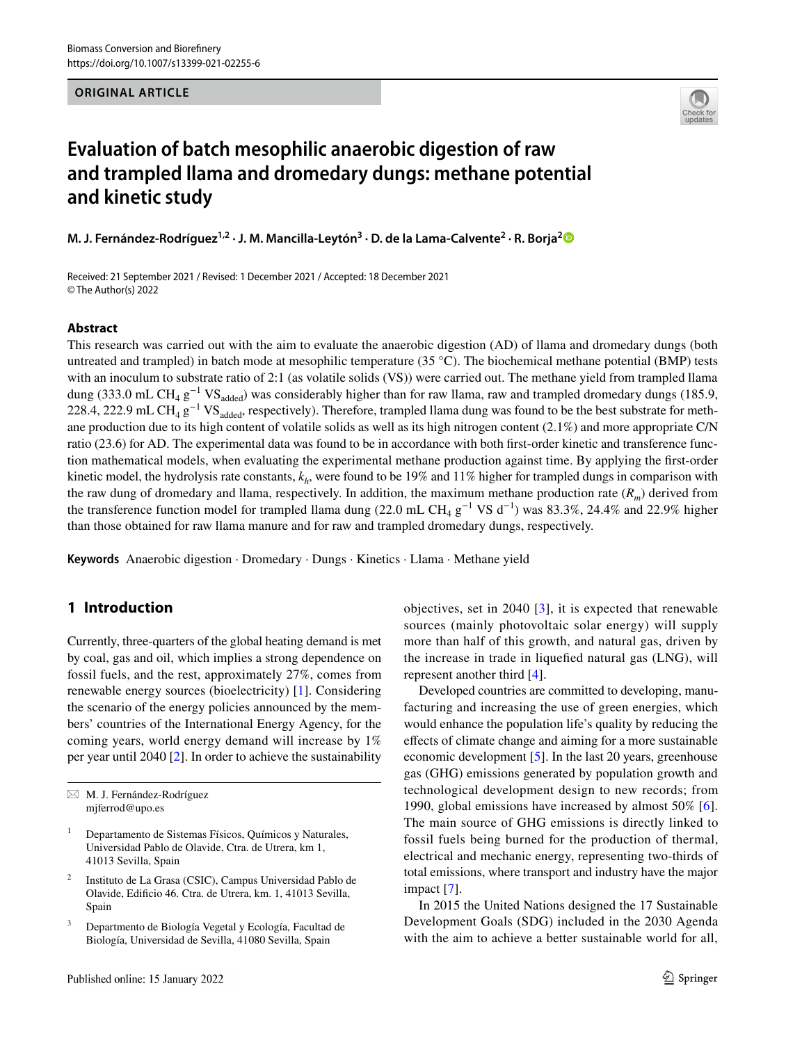**ORIGINAL ARTICLE**



# **Evaluation of batch mesophilic anaerobic digestion of raw and trampled llama and dromedary dungs: methane potential and kinetic study**

**M. J. Fernández‑Rodríguez1,2 · J. M. Mancilla‑Leytón3 · D. de la Lama‑Calvente2 · R. Borja[2](http://orcid.org/0000-0002-3699-7223)**

Received: 21 September 2021 / Revised: 1 December 2021 / Accepted: 18 December 2021 © The Author(s) 2022

### **Abstract**

This research was carried out with the aim to evaluate the anaerobic digestion (AD) of llama and dromedary dungs (both untreated and trampled) in batch mode at mesophilic temperature (35  $^{\circ}$ C). The biochemical methane potential (BMP) tests with an inoculum to substrate ratio of 2:1 (as volatile solids (VS)) were carried out. The methane yield from trampled llama dung (333.0 mL CH<sub>4</sub> g<sup>-1</sup> VS<sub>added</sub>) was considerably higher than for raw llama, raw and trampled dromedary dungs (185.9, 228.4, 222.9 mL CH<sub>4</sub> g<sup>-1</sup> VS<sub>added</sub>, respectively). Therefore, trampled llama dung was found to be the best substrate for methane production due to its high content of volatile solids as well as its high nitrogen content (2.1%) and more appropriate C/N ratio (23.6) for AD. The experimental data was found to be in accordance with both frst-order kinetic and transference function mathematical models, when evaluating the experimental methane production against time. By applying the frst-order kinetic model, the hydrolysis rate constants,  $k_h$ , were found to be 19% and 11% higher for trampled dungs in comparison with the raw dung of dromedary and llama, respectively. In addition, the maximum methane production rate (*Rm*) derived from the transference function model for trampled llama dung (22.0 mL CH<sub>4</sub> g<sup>-1</sup> VS d<sup>-1</sup>) was 83.3%, 24.4% and 22.9% higher than those obtained for raw llama manure and for raw and trampled dromedary dungs, respectively.

**Keywords** Anaerobic digestion · Dromedary · Dungs · Kinetics · Llama · Methane yield

# **1 Introduction**

Currently, three-quarters of the global heating demand is met by coal, gas and oil, which implies a strong dependence on fossil fuels, and the rest, approximately 27%, comes from renewable energy sources (bioelectricity) [[1\]](#page-6-0). Considering the scenario of the energy policies announced by the members' countries of the International Energy Agency, for the coming years, world energy demand will increase by 1% per year until 2040 [[2\]](#page-6-1). In order to achieve the sustainability

objectives, set in 2040 [\[3\]](#page-6-2), it is expected that renewable sources (mainly photovoltaic solar energy) will supply more than half of this growth, and natural gas, driven by the increase in trade in liquefed natural gas (LNG), will represent another third [\[4](#page-6-3)].

Developed countries are committed to developing, manufacturing and increasing the use of green energies, which would enhance the population life's quality by reducing the efects of climate change and aiming for a more sustainable economic development [[5](#page-6-4)]. In the last 20 years, greenhouse gas (GHG) emissions generated by population growth and technological development design to new records; from 1990, global emissions have increased by almost 50% [\[6](#page-6-5)]. The main source of GHG emissions is directly linked to fossil fuels being burned for the production of thermal, electrical and mechanic energy, representing two-thirds of total emissions, where transport and industry have the major impact [\[7](#page-6-6)].

In 2015 the United Nations designed the 17 Sustainable Development Goals (SDG) included in the 2030 Agenda with the aim to achieve a better sustainable world for all,

 $\boxtimes$  M. J. Fernández-Rodríguez mjferrod@upo.es

<sup>1</sup> Departamento de Sistemas Físicos, Químicos y Naturales, Universidad Pablo de Olavide, Ctra. de Utrera, km 1, 41013 Sevilla, Spain

<sup>2</sup> Instituto de La Grasa (CSIC), Campus Universidad Pablo de Olavide, Edifcio 46. Ctra. de Utrera, km. 1, 41013 Sevilla, Spain

<sup>3</sup> Departmento de Biología Vegetal y Ecología, Facultad de Biología, Universidad de Sevilla, 41080 Sevilla, Spain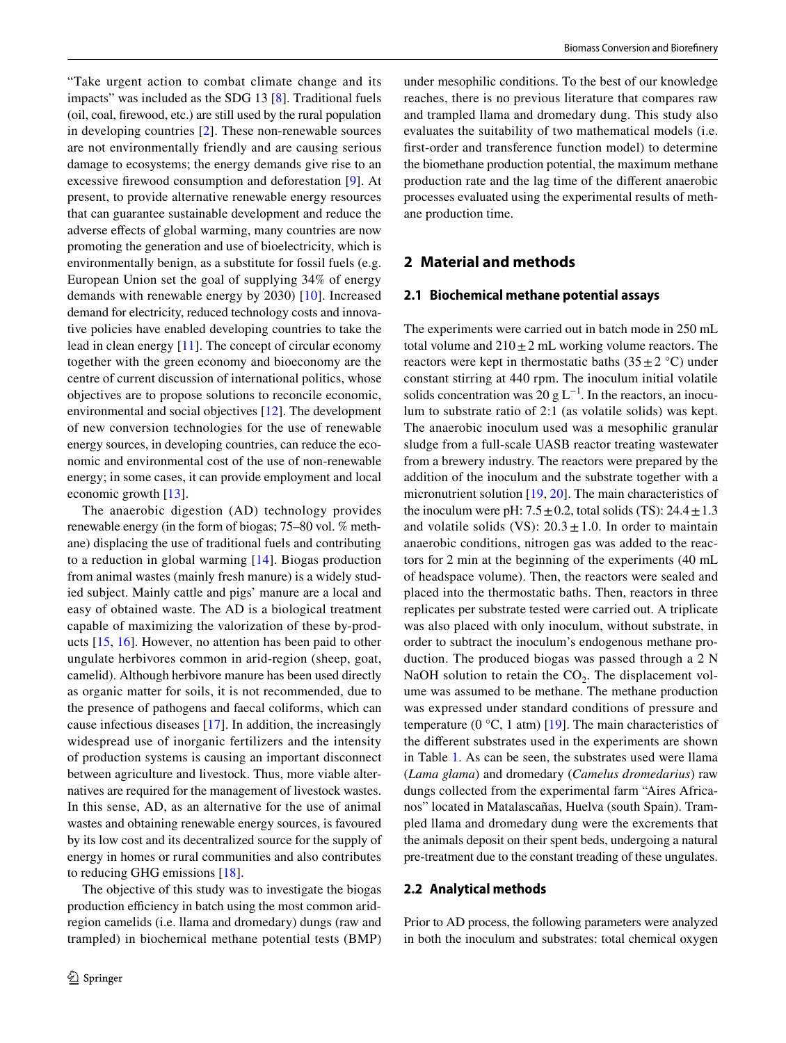"Take urgent action to combat climate change and its impacts" was included as the SDG 13 [[8\]](#page-6-7). Traditional fuels (oil, coal, frewood, etc.) are still used by the rural population in developing countries [[2](#page-6-1)]. These non-renewable sources are not environmentally friendly and are causing serious damage to ecosystems; the energy demands give rise to an excessive frewood consumption and deforestation [\[9](#page-7-0)]. At present, to provide alternative renewable energy resources that can guarantee sustainable development and reduce the adverse efects of global warming, many countries are now promoting the generation and use of bioelectricity, which is environmentally benign, as a substitute for fossil fuels (e.g. European Union set the goal of supplying 34% of energy demands with renewable energy by 2030) [[10\]](#page-7-1). Increased demand for electricity, reduced technology costs and innovative policies have enabled developing countries to take the lead in clean energy [[11\]](#page-7-2). The concept of circular economy together with the green economy and bioeconomy are the centre of current discussion of international politics, whose objectives are to propose solutions to reconcile economic, environmental and social objectives [[12](#page-7-3)]. The development of new conversion technologies for the use of renewable energy sources, in developing countries, can reduce the economic and environmental cost of the use of non-renewable energy; in some cases, it can provide employment and local economic growth [\[13](#page-7-4)].

The anaerobic digestion (AD) technology provides renewable energy (in the form of biogas; 75–80 vol. % methane) displacing the use of traditional fuels and contributing to a reduction in global warming [[14](#page-7-5)]. Biogas production from animal wastes (mainly fresh manure) is a widely studied subject. Mainly cattle and pigs' manure are a local and easy of obtained waste. The AD is a biological treatment capable of maximizing the valorization of these by-products [\[15,](#page-7-6) [16\]](#page-7-7). However, no attention has been paid to other ungulate herbivores common in arid-region (sheep, goat, camelid). Although herbivore manure has been used directly as organic matter for soils, it is not recommended, due to the presence of pathogens and faecal coliforms, which can cause infectious diseases [\[17](#page-7-8)]. In addition, the increasingly widespread use of inorganic fertilizers and the intensity of production systems is causing an important disconnect between agriculture and livestock. Thus, more viable alternatives are required for the management of livestock wastes. In this sense, AD, as an alternative for the use of animal wastes and obtaining renewable energy sources, is favoured by its low cost and its decentralized source for the supply of energy in homes or rural communities and also contributes to reducing GHG emissions [[18](#page-7-9)].

The objective of this study was to investigate the biogas production efficiency in batch using the most common aridregion camelids (i.e. llama and dromedary) dungs (raw and trampled) in biochemical methane potential tests (BMP) under mesophilic conditions. To the best of our knowledge reaches, there is no previous literature that compares raw and trampled llama and dromedary dung. This study also evaluates the suitability of two mathematical models (i.e. frst-order and transference function model) to determine the biomethane production potential, the maximum methane production rate and the lag time of the diferent anaerobic processes evaluated using the experimental results of methane production time.

# **2 Material and methods**

#### **2.1 Biochemical methane potential assays**

The experiments were carried out in batch mode in 250 mL total volume and  $210 \pm 2$  mL working volume reactors. The reactors were kept in thermostatic baths  $(35 \pm 2 \degree C)$  under constant stirring at 440 rpm. The inoculum initial volatile solids concentration was 20 g  $L^{-1}$ . In the reactors, an inoculum to substrate ratio of 2:1 (as volatile solids) was kept. The anaerobic inoculum used was a mesophilic granular sludge from a full-scale UASB reactor treating wastewater from a brewery industry. The reactors were prepared by the addition of the inoculum and the substrate together with a micronutrient solution [[19](#page-7-10), [20\]](#page-7-11). The main characteristics of the inoculum were pH:  $7.5 \pm 0.2$ , total solids (TS):  $24.4 \pm 1.3$ and volatile solids (VS):  $20.3 \pm 1.0$ . In order to maintain anaerobic conditions, nitrogen gas was added to the reactors for 2 min at the beginning of the experiments (40 mL of headspace volume). Then, the reactors were sealed and placed into the thermostatic baths. Then, reactors in three replicates per substrate tested were carried out. A triplicate was also placed with only inoculum, without substrate, in order to subtract the inoculum's endogenous methane production. The produced biogas was passed through a 2 N NaOH solution to retain the  $CO<sub>2</sub>$ . The displacement volume was assumed to be methane. The methane production was expressed under standard conditions of pressure and temperature (0  $\degree$ C, 1 atm) [[19\]](#page-7-10). The main characteristics of the diferent substrates used in the experiments are shown in Table [1.](#page-2-0) As can be seen, the substrates used were llama (*Lama glama*) and dromedary (*Camelus dromedarius*) raw dungs collected from the experimental farm "Aires Africanos" located in Matalascañas, Huelva (south Spain). Trampled llama and dromedary dung were the excrements that the animals deposit on their spent beds, undergoing a natural pre-treatment due to the constant treading of these ungulates.

#### **2.2 Analytical methods**

Prior to AD process, the following parameters were analyzed in both the inoculum and substrates: total chemical oxygen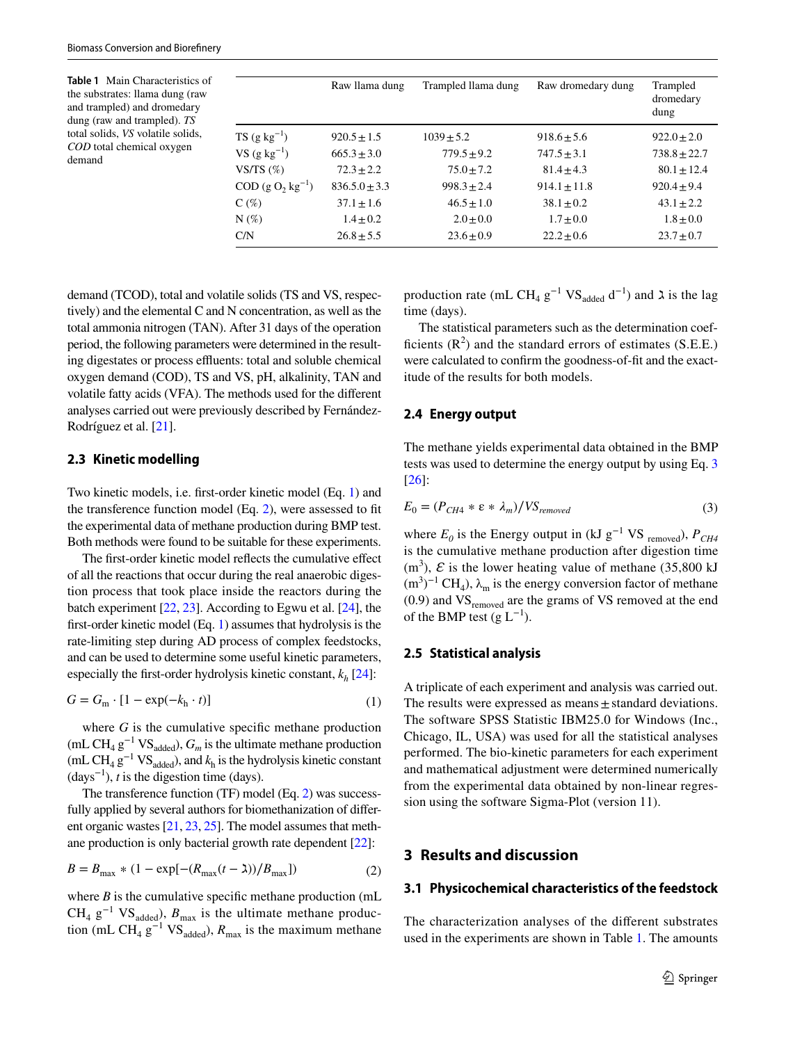<span id="page-2-0"></span>**Table 1** Main Characteristics of the substrates: llama dung (raw and trampled) and dromedary dung (raw and trampled). *TS* total solids, *VS* volatile solids, *COD* total chemical oxygen demand

|                            | Raw Ilama dung    | Trampled Ilama dung | Raw dromedary dung | Trampled<br>dromedary<br>dung |
|----------------------------|-------------------|---------------------|--------------------|-------------------------------|
| $TS(g kg^{-1})$            | $920.5 \pm 1.5$   | $1039 \pm 5.2$      | $918.6 \pm 5.6$    | $922.0 \pm 2.0$               |
| $VS$ (g kg <sup>-1</sup> ) | $665.3 \pm 3.0$   | $779.5 \pm 9.2$     | $747.5 \pm 3.1$    | $738.8 \pm 22.7$              |
| VS/TS $(\%)$               | $72.3 \pm 2.2$    | $75.0 \pm 7.2$      | $81.4 \pm 4.3$     | $80.1 \pm 12.4$               |
| $COD (g O, kg^{-1})$       | $836.5.0 \pm 3.3$ | $998.3 \pm 2.4$     | $914.1 \pm 11.8$   | $920.4 \pm 9.4$               |
| $C(\%)$                    | $37.1 \pm 1.6$    | $46.5 \pm 1.0$      | $38.1 \pm 0.2$     | $43.1 \pm 2.2$                |
| $N(\%)$                    | $1.4 \pm 0.2$     | $2.0 \pm 0.0$       | $1.7 \pm 0.0$      | $1.8 \pm 0.0$                 |
| C/N                        | $26.8 \pm 5.5$    | $23.6 \pm 0.9$      | $22.2 \pm 0.6$     | $23.7 \pm 0.7$                |
|                            |                   |                     |                    |                               |

demand (TCOD), total and volatile solids (TS and VS, respectively) and the elemental C and N concentration, as well as the total ammonia nitrogen (TAN). After 31 days of the operation period, the following parameters were determined in the resulting digestates or process effluents: total and soluble chemical oxygen demand (COD), TS and VS, pH, alkalinity, TAN and volatile fatty acids (VFA). The methods used for the diferent analyses carried out were previously described by Fernández-Rodríguez et al. [\[21\]](#page-7-12).

# **2.3 Kinetic modelling**

Two kinetic models, i.e. frst-order kinetic model (Eq. [1](#page-2-1)) and the transference function model (Eq. [2](#page-2-2)), were assessed to ft the experimental data of methane production during BMP test. Both methods were found to be suitable for these experiments.

The frst-order kinetic model refects the cumulative efect of all the reactions that occur during the real anaerobic digestion process that took place inside the reactors during the batch experiment [\[22,](#page-7-13) [23](#page-7-14)]. According to Egwu et al. [\[24](#page-7-15)], the frst-order kinetic model (Eq. [1](#page-2-1)) assumes that hydrolysis is the rate-limiting step during AD process of complex feedstocks, and can be used to determine some useful kinetic parameters, especially the first-order hydrolysis kinetic constant,  $k_h$  [[24](#page-7-15)]:

$$
G = G_{\rm m} \cdot [1 - \exp(-k_{\rm h} \cdot t)] \tag{1}
$$

where  $G$  is the cumulative specific methane production (mL CH<sub>4</sub> g<sup>-1</sup> VS<sub>added</sub>),  $G_m$  is the ultimate methane production (mL CH<sub>4</sub> g<sup>-1</sup> VS<sub>added</sub>), and  $k_h$  is the hydrolysis kinetic constant  $(days^{-1})$ , *t* is the digestion time (days).

The transference function (TF) model (Eq. [2](#page-2-2)) was successfully applied by several authors for biomethanization of diferent organic wastes [\[21](#page-7-12), [23](#page-7-14), [25](#page-7-16)]. The model assumes that methane production is only bacterial growth rate dependent [[22](#page-7-13)]:

$$
B = B_{\text{max}} * (1 - \exp[-(R_{\text{max}}(t - \lambda))/B_{\text{max}}])
$$
 (2)

where  $B$  is the cumulative specific methane production (mL  $CH_4$  g<sup>-1</sup> VS<sub>added</sub>),  $B_{\text{max}}$  is the ultimate methane production (mL CH<sub>4</sub> g<sup>-1</sup> VS<sub>added</sub>),  $R_{\text{max}}$  is the maximum methane

production rate (mL CH<sub>4</sub> g<sup>-1</sup> VS<sub>added</sub> d<sup>-1</sup>) and  $\lambda$  is the lag time (days).

The statistical parameters such as the determination coefficients  $(R^2)$  and the standard errors of estimates (S.E.E.) were calculated to confrm the goodness-of-ft and the exactitude of the results for both models.

### **2.4 Energy output**

The methane yields experimental data obtained in the BMP tests was used to determine the energy output by using Eq. [3](#page-2-3) [[26\]](#page-7-17):

<span id="page-2-3"></span>
$$
E_0 = (P_{CH4} * \varepsilon * \lambda_m) / VS_{removed}
$$
 (3)

where  $E_0$  is the Energy output in (kJ g<sup>-1</sup> VS <sub>removed</sub>),  $P_{CH4}$ is the cumulative methane production after digestion time  $(m<sup>3</sup>)$ ,  $\mathcal E$  is the lower heating value of methane (35,800 kJ)  $(m<sup>3</sup>)<sup>-1</sup> CH<sub>4</sub>$ ,  $\lambda_m$  is the energy conversion factor of methane  $(0.9)$  and  $VS$ <sub>removed</sub> are the grams of VS removed at the end of the BMP test (g  $L^{-1}$ ).

# **2.5 Statistical analysis**

<span id="page-2-1"></span>A triplicate of each experiment and analysis was carried out. The results were expressed as means $\pm$  standard deviations. The software SPSS Statistic IBM25.0 for Windows (Inc., Chicago, IL, USA) was used for all the statistical analyses performed. The bio-kinetic parameters for each experiment and mathematical adjustment were determined numerically from the experimental data obtained by non-linear regression using the software Sigma-Plot (version 11).

## <span id="page-2-2"></span>**3 Results and discussion**

#### **3.1 Physicochemical characteristics of the feedstock**

The characterization analyses of the diferent substrates used in the experiments are shown in Table [1](#page-2-0). The amounts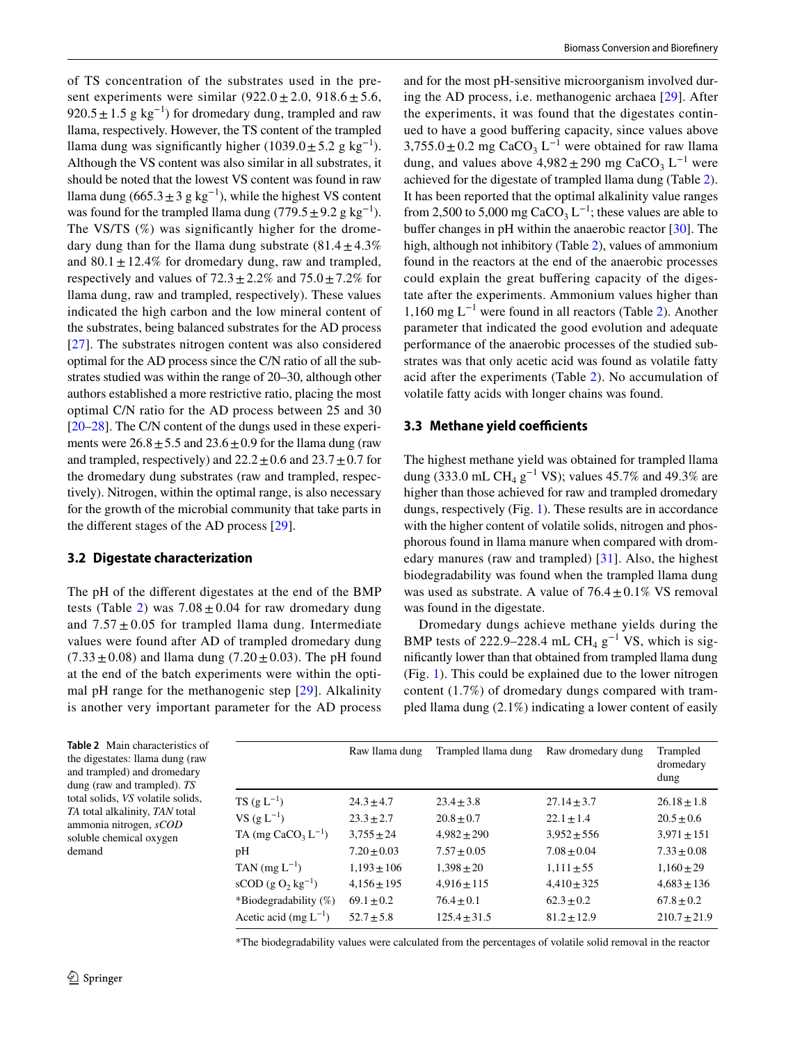of TS concentration of the substrates used in the present experiments were similar  $(922.0 \pm 2.0, 918.6 \pm 5.6,$ 920.5  $\pm$  1.5 g kg<sup>-1</sup>) for dromedary dung, trampled and raw llama, respectively. However, the TS content of the trampled llama dung was significantly higher (1039.0 $\pm$ 5.2 g kg<sup>-1</sup>). Although the VS content was also similar in all substrates, it should be noted that the lowest VS content was found in raw llama dung (665.3 ± 3 g kg<sup>-1</sup>), while the highest VS content was found for the trampled llama dung (779.5  $\pm$  9.2 g kg<sup>-1</sup>). The VS/TS  $(\%)$  was significantly higher for the dromedary dung than for the llama dung substrate  $(81.4 \pm 4.3\%)$ and  $80.1 \pm 12.4\%$  for dromedary dung, raw and trampled, respectively and values of  $72.3 \pm 2.2\%$  and  $75.0 \pm 7.2\%$  for llama dung, raw and trampled, respectively). These values indicated the high carbon and the low mineral content of the substrates, being balanced substrates for the AD process [\[27\]](#page-7-18). The substrates nitrogen content was also considered optimal for the AD process since the C/N ratio of all the substrates studied was within the range of 20–30, although other authors established a more restrictive ratio, placing the most optimal C/N ratio for the AD process between 25 and 30 [\[20](#page-7-11)[–28](#page-7-19)]. The C/N content of the dungs used in these experiments were  $26.8 \pm 5.5$  and  $23.6 \pm 0.9$  for the llama dung (raw and trampled, respectively) and  $22.2 \pm 0.6$  and  $23.7 \pm 0.7$  for the dromedary dung substrates (raw and trampled, respectively). Nitrogen, within the optimal range, is also necessary for the growth of the microbial community that take parts in the diferent stages of the AD process [\[29](#page-7-20)].

# **3.2 Digestate characterization**

The pH of the diferent digestates at the end of the BMP tests (Table [2\)](#page-3-0) was  $7.08 \pm 0.04$  for raw dromedary dung and  $7.57 \pm 0.05$  for trampled llama dung. Intermediate values were found after AD of trampled dromedary dung  $(7.33 \pm 0.08)$  and llama dung  $(7.20 \pm 0.03)$ . The pH found at the end of the batch experiments were within the optimal pH range for the methanogenic step [\[29\]](#page-7-20). Alkalinity is another very important parameter for the AD process

and for the most pH-sensitive microorganism involved during the AD process, i.e. methanogenic archaea [[29\]](#page-7-20). After the experiments, it was found that the digestates continued to have a good bufering capacity, since values above  $3,755.0 \pm 0.2$  mg CaCO<sub>3</sub> L<sup>-1</sup> were obtained for raw llama dung, and values above  $4,982 \pm 290$  mg CaCO<sub>3</sub> L<sup>-1</sup> were achieved for the digestate of trampled llama dung (Table [2](#page-3-0)). It has been reported that the optimal alkalinity value ranges from 2,500 to 5,000 mg CaCO<sub>3</sub> L<sup>-1</sup>; these values are able to buffer changes in pH within the anaerobic reactor  $[30]$  $[30]$ . The high, although not inhibitory (Table [2\)](#page-3-0), values of ammonium found in the reactors at the end of the anaerobic processes could explain the great buffering capacity of the digestate after the experiments. Ammonium values higher than 1,160 mg L−1 were found in all reactors (Table [2\)](#page-3-0). Another parameter that indicated the good evolution and adequate performance of the anaerobic processes of the studied substrates was that only acetic acid was found as volatile fatty acid after the experiments (Table [2\)](#page-3-0). No accumulation of volatile fatty acids with longer chains was found.

### **3.3 Methane yield coefficients**

The highest methane yield was obtained for trampled llama dung (333.0 mL CH<sub>4</sub> g<sup>-1</sup> VS); values 45.7% and 49.3% are higher than those achieved for raw and trampled dromedary dungs, respectively (Fig. [1\)](#page-4-0). These results are in accordance with the higher content of volatile solids, nitrogen and phosphorous found in llama manure when compared with dromedary manures (raw and trampled) [[31](#page-7-22)]. Also, the highest biodegradability was found when the trampled llama dung was used as substrate. A value of  $76.4 \pm 0.1\%$  VS removal was found in the digestate.

Dromedary dungs achieve methane yields during the BMP tests of 222.9–228.4 mL CH<sub>4</sub> g<sup>-1</sup> VS, which is signifcantly lower than that obtained from trampled llama dung (Fig. [1](#page-4-0)). This could be explained due to the lower nitrogen content (1.7%) of dromedary dungs compared with trampled llama dung (2.1%) indicating a lower content of easily

<span id="page-3-0"></span>**Table 2** Main characteristics of the digestates: llama dung (raw and trampled) and dromedary dung (raw and trampled). *TS* total solids, *VS* volatile solids, *TA* total alkalinity, *TAN* total ammonia nitrogen, *sCOD* soluble chemical oxygen demand

|                                                    | Raw Ilama dung  | Trampled Ilama dung | Raw dromedary dung | Trampled<br>dromedary<br>dung |
|----------------------------------------------------|-----------------|---------------------|--------------------|-------------------------------|
| $TS(g L^{-1})$                                     | $24.3 + 4.7$    | $23.4 + 3.8$        | $27.14 \pm 3.7$    | $26.18 + 1.8$                 |
| $VS (g L^{-1})$                                    | $23.3 \pm 2.7$  | $20.8 \pm 0.7$      | $22.1 \pm 1.4$     | $20.5 \pm 0.6$                |
| TA (mg CaCO <sub>3</sub> $L^{-1}$ )                | $3.755 + 24$    | $4.982 + 290$       | $3.952 \pm 556$    | $3.971 \pm 151$               |
| pН                                                 | $7.20 \pm 0.03$ | $7.57 + 0.05$       | $7.08 + 0.04$      | $7.33 + 0.08$                 |
| TAN $(mg L^{-1})$                                  | $1,193 \pm 106$ | $1,398 \pm 20$      | $1,111 \pm 55$     | $1,160 \pm 29$                |
| $\text{sCOD}$ (g O <sub>2</sub> kg <sup>-1</sup> ) | $4,156 \pm 195$ | $4,916 \pm 115$     | $4,410 \pm 325$    | $4,683 \pm 136$               |
| *Biodegradability $(\%)$                           | $69.1 + 0.2$    | $76.4 + 0.1$        | $62.3 + 0.2$       | $67.8 + 0.2$                  |
| Acetic acid (mg $L^{-1}$ )                         | $52.7 + 5.8$    | $125.4 \pm 31.5$    | $81.2 + 12.9$      | $210.7 \pm 21.9$              |

\*The biodegradability values were calculated from the percentages of volatile solid removal in the reactor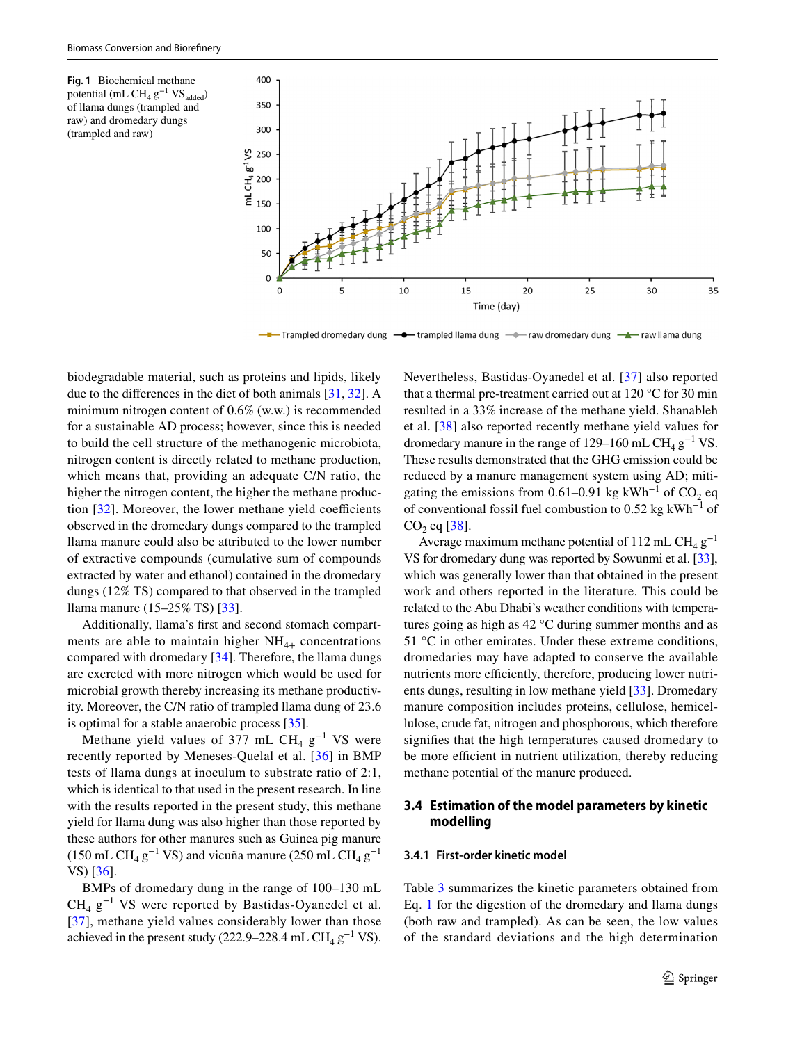<span id="page-4-0"></span>**Fig. 1** Biochemical methane potential (mL CH<sub>4</sub>  $g^{-1}VS_{added}$ ) of llama dungs (trampled and raw) and dromedary dungs (trampled and raw)



- Trampled dromedary dung - → trampled llama dung - → raw dromedary dung - ▲ raw llama dung

biodegradable material, such as proteins and lipids, likely due to the diferences in the diet of both animals [[31,](#page-7-22) [32\]](#page-7-23). A minimum nitrogen content of 0.6% (w.w.) is recommended for a sustainable AD process; however, since this is needed to build the cell structure of the methanogenic microbiota, nitrogen content is directly related to methane production, which means that, providing an adequate C/N ratio, the higher the nitrogen content, the higher the methane production  $[32]$  $[32]$ . Moreover, the lower methane yield coefficients observed in the dromedary dungs compared to the trampled llama manure could also be attributed to the lower number of extractive compounds (cumulative sum of compounds extracted by water and ethanol) contained in the dromedary dungs (12% TS) compared to that observed in the trampled llama manure (15–25% TS) [\[33](#page-7-24)].

Additionally, llama's frst and second stomach compartments are able to maintain higher  $NH_{4+}$  concentrations compared with dromedary [[34](#page-7-25)]. Therefore, the llama dungs are excreted with more nitrogen which would be used for microbial growth thereby increasing its methane productivity. Moreover, the C/N ratio of trampled llama dung of 23.6 is optimal for a stable anaerobic process [\[35](#page-7-26)].

Methane yield values of 377 mL CH<sub>4</sub>  $g^{-1}$  VS were recently reported by Meneses-Quelal et al. [[36](#page-7-27)] in BMP tests of llama dungs at inoculum to substrate ratio of 2:1, which is identical to that used in the present research. In line with the results reported in the present study, this methane yield for llama dung was also higher than those reported by these authors for other manures such as Guinea pig manure (150 mL CH<sub>4</sub> g<sup>-1</sup> VS) and vicuña manure (250 mL CH<sub>4</sub> g<sup>-1</sup> VS) [[36\]](#page-7-27).

BMPs of dromedary dung in the range of 100–130 mL  $CH_4$  g<sup>-1</sup> VS were reported by Bastidas-Oyanedel et al. [\[37\]](#page-7-28), methane yield values considerably lower than those achieved in the present study (222.9–228.4 mL CH<sub>4</sub> g<sup>-1</sup> VS).

Nevertheless, Bastidas-Oyanedel et al. [[37](#page-7-28)] also reported that a thermal pre-treatment carried out at 120 °C for 30 min resulted in a 33% increase of the methane yield. Shanableh et al. [[38](#page-8-0)] also reported recently methane yield values for dromedary manure in the range of 129–160 mL CH<sub>4</sub> g<sup>-1</sup> VS. These results demonstrated that the GHG emission could be reduced by a manure management system using AD; mitigating the emissions from 0.61–0.91 kg kWh<sup>-1</sup> of CO<sub>2</sub> eq of conventional fossil fuel combustion to 0.52 kg kWh<sup>-1</sup> of  $CO_2$  eq  $[38]$  $[38]$ .

Average maximum methane potential of 112 mL CH<sub>4</sub> g<sup>-1</sup> VS for dromedary dung was reported by Sowunmi et al. [[33](#page-7-24)], which was generally lower than that obtained in the present work and others reported in the literature. This could be related to the Abu Dhabi's weather conditions with temperatures going as high as 42 °C during summer months and as 51 °C in other emirates. Under these extreme conditions, dromedaries may have adapted to conserve the available nutrients more efficiently, therefore, producing lower nutrients dungs, resulting in low methane yield [\[33](#page-7-24)]. Dromedary manure composition includes proteins, cellulose, hemicellulose, crude fat, nitrogen and phosphorous, which therefore signifes that the high temperatures caused dromedary to be more efficient in nutrient utilization, thereby reducing methane potential of the manure produced.

# **3.4 Estimation of the model parameters by kinetic modelling**

#### **3.4.1 First‑order kinetic model**

Table [3](#page-5-0) summarizes the kinetic parameters obtained from Eq. [1](#page-2-1) for the digestion of the dromedary and llama dungs (both raw and trampled). As can be seen, the low values of the standard deviations and the high determination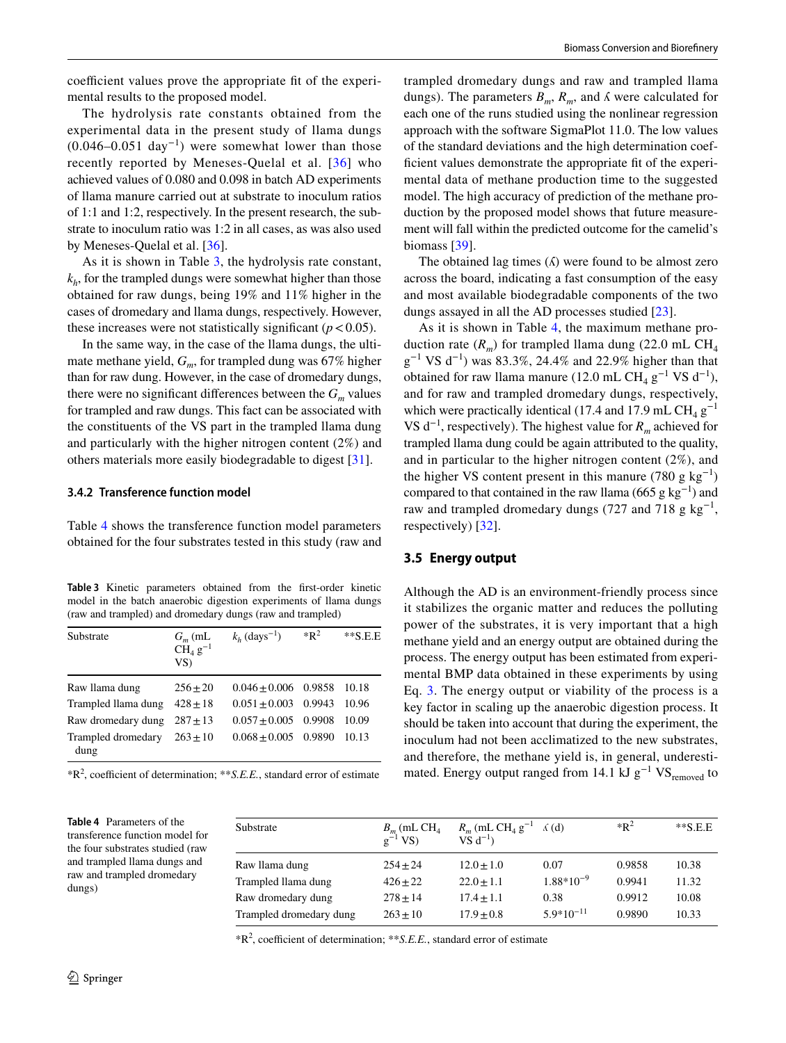coefficient values prove the appropriate fit of the experimental results to the proposed model.

The hydrolysis rate constants obtained from the experimental data in the present study of llama dungs  $(0.046-0.051 \text{ day}^{-1})$  were somewhat lower than those recently reported by Meneses-Quelal et al. [[36](#page-7-27)] who achieved values of 0.080 and 0.098 in batch AD experiments of llama manure carried out at substrate to inoculum ratios of 1:1 and 1:2, respectively. In the present research, the substrate to inoculum ratio was 1:2 in all cases, as was also used by Meneses-Quelal et al. [[36\]](#page-7-27).

As it is shown in Table [3](#page-5-0), the hydrolysis rate constant,  $k<sub>h</sub>$ , for the trampled dungs were somewhat higher than those obtained for raw dungs, being 19% and 11% higher in the cases of dromedary and llama dungs, respectively. However, these increases were not statistically significant  $(p < 0.05)$ .

In the same way, in the case of the llama dungs, the ultimate methane yield,  $G_m$ , for trampled dung was 67% higher than for raw dung. However, in the case of dromedary dungs, there were no significant differences between the  $G<sub>m</sub>$  values for trampled and raw dungs. This fact can be associated with the constituents of the VS part in the trampled llama dung and particularly with the higher nitrogen content (2%) and others materials more easily biodegradable to digest [[31\]](#page-7-22).

#### **3.4.2 Transference function model**

Table [4](#page-5-1) shows the transference function model parameters obtained for the four substrates tested in this study (raw and

<span id="page-5-0"></span>**Table 3** Kinetic parameters obtained from the frst-order kinetic model in the batch anaerobic digestion experiments of llama dungs (raw and trampled) and dromedary dungs (raw and trampled)

| Substrate                  | $G_m$ (mL<br>$CH4$ $g-1$<br>VS | $k_h$ (days <sup>-1</sup> ) | $*{\bf R}^2$ | $*$ $S.E.E$ |
|----------------------------|--------------------------------|-----------------------------|--------------|-------------|
| Raw Ilama dung             | $256 + 20$                     | $0.046 + 0.006$ 0.9858      |              | 10.18       |
| Trampled Ilama dung        | $428 + 18$                     | $0.051 \pm 0.003$ 0.9943    |              | 10.96       |
| Raw dromedary dung         | $287 + 13$                     | $0.057 + 0.005$ 0.9908      |              | 10.09       |
| Trampled dromedary<br>dung | $263 + 10$                     | $0.068 + 0.005$ 0.9890      |              | 10.13       |

\*R<sup>2</sup>, coefficient of determination; \*\*S.E.E., standard error of estimate

trampled dromedary dungs and raw and trampled llama dungs). The parameters  $B_m$ ,  $R_m$ , and  $\Lambda$  were calculated for each one of the runs studied using the nonlinear regression approach with the software SigmaPlot 11.0. The low values of the standard deviations and the high determination coefficient values demonstrate the appropriate fit of the experimental data of methane production time to the suggested model. The high accuracy of prediction of the methane production by the proposed model shows that future measurement will fall within the predicted outcome for the camelid's biomass [\[39](#page-8-1)].

The obtained lag times  $($  $\Lambda)$  were found to be almost zero across the board, indicating a fast consumption of the easy and most available biodegradable components of the two dungs assayed in all the AD processes studied [[23](#page-7-14)].

As it is shown in Table [4](#page-5-1), the maximum methane production rate  $(R_m)$  for trampled llama dung (22.0 mL CH<sub>4</sub>  $g^{-1}$  VS d<sup>-1</sup>) was 83.3%, 24.4% and 22.9% higher than that obtained for raw llama manure (12.0 mL CH<sub>4</sub> g<sup>-1</sup> VS d<sup>-1</sup>), and for raw and trampled dromedary dungs, respectively, which were practically identical (17.4 and 17.9 mL CH<sub>4</sub>  $g^{-1}$ VS d−1, respectively). The highest value for *Rm* achieved for trampled llama dung could be again attributed to the quality, and in particular to the higher nitrogen content (2%), and the higher VS content present in this manure (780 g kg<sup>-1</sup>) compared to that contained in the raw llama (665 g kg<sup>-1</sup>) and raw and trampled dromedary dungs (727 and 718 g kg<sup>-1</sup>, respectively) [[32\]](#page-7-23).

### **3.5 Energy output**

Although the AD is an environment-friendly process since it stabilizes the organic matter and reduces the polluting power of the substrates, it is very important that a high methane yield and an energy output are obtained during the process. The energy output has been estimated from experimental BMP data obtained in these experiments by using Eq. [3.](#page-2-3) The energy output or viability of the process is a key factor in scaling up the anaerobic digestion process. It should be taken into account that during the experiment, the inoculum had not been acclimatized to the new substrates, and therefore, the methane yield is, in general, underestimated. Energy output ranged from 14.1 kJ  $g^{-1}VS_{\text{removed}}$  to

| Substrate               | $B_{m}$ (mL CH <sub>4</sub><br>$\rm ^1VS$ ) | $R_m$ (mL CH <sub>4</sub> g <sup>-1</sup> $\land$ (d)<br>$VS$ $d^{-1}$ ) |                | $*{\bf R}^2$ | $**S.E.E$ |
|-------------------------|---------------------------------------------|--------------------------------------------------------------------------|----------------|--------------|-----------|
| Raw Ilama dung          | $254 + 24$                                  | $12.0 + 1.0$                                                             | 0.07           | 0.9858       | 10.38     |
| Trampled Ilama dung     | $426 + 22$                                  | $22.0 + 1.1$                                                             | $1.88*10^{-9}$ | 0.9941       | 11.32     |
| Raw dromedary dung      | $278 + 14$                                  | $17.4 + 1.1$                                                             | 0.38           | 0.9912       | 10.08     |
| Trampled dromedary dung | $263 + 10$                                  | $17.9 + 0.8$                                                             | $5.9*10^{-11}$ | 0.9890       | 10.33     |

 $*R^2$ , coefficient of determination;  $**S.E.E.,$  standard error of estimate

dungs)

<span id="page-5-1"></span>**Table 4** Parameters of the transference function model for the four substrates studied (raw and trampled llama dungs and raw and trampled dromedary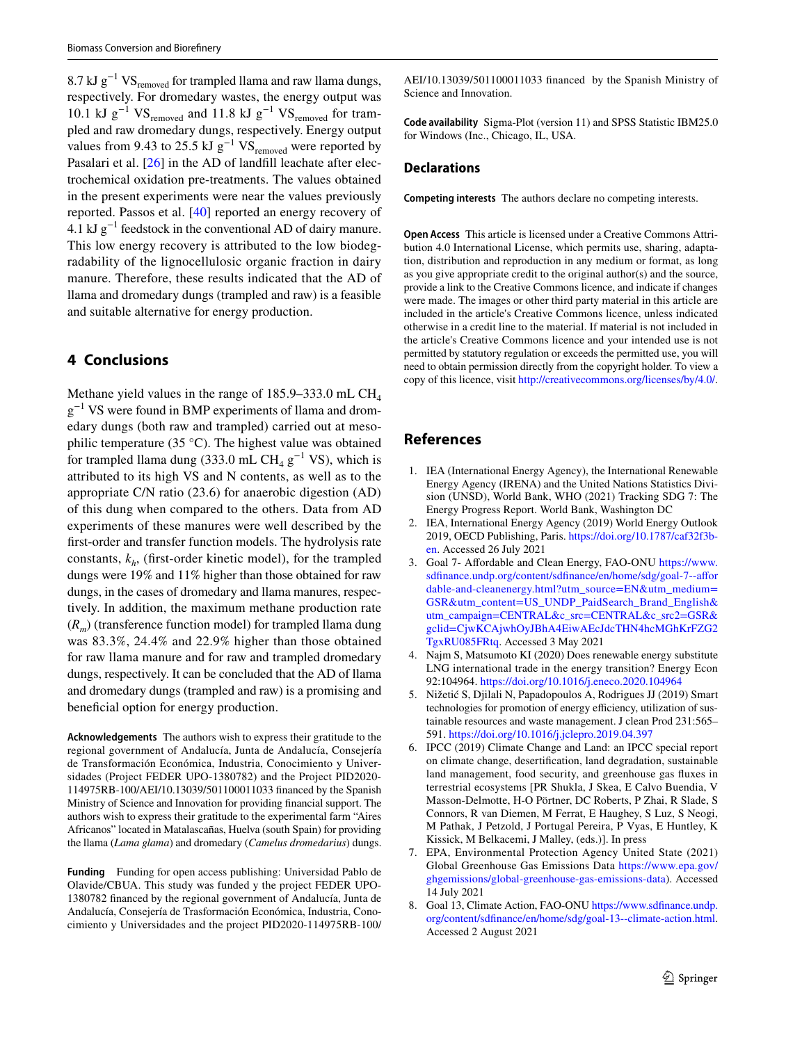8.7 kJ  $g^{-1}VS_{\text{removed}}$  for trampled llama and raw llama dungs, respectively. For dromedary wastes, the energy output was 10.1 kJ g<sup>-1</sup> VS<sub>removed</sub> and 11.8 kJ g<sup>-1</sup> VS<sub>removed</sub> for trampled and raw dromedary dungs, respectively. Energy output values from 9.43 to 25.5 kJ  $g^{-1}$  VS<sub>removed</sub> were reported by Pasalari et al. [\[26\]](#page-7-17) in the AD of landfill leachate after electrochemical oxidation pre-treatments. The values obtained in the present experiments were near the values previously reported. Passos et al. [[40\]](#page-8-2) reported an energy recovery of 4.1 kJ  $g^{-1}$  feedstock in the conventional AD of dairy manure. This low energy recovery is attributed to the low biodegradability of the lignocellulosic organic fraction in dairy manure. Therefore, these results indicated that the AD of llama and dromedary dungs (trampled and raw) is a feasible and suitable alternative for energy production.

# **4 Conclusions**

Methane yield values in the range of  $185.9 - 333.0$  mL CH<sub>4</sub> g<sup>-1</sup> VS were found in BMP experiments of llama and dromedary dungs (both raw and trampled) carried out at mesophilic temperature (35 °C). The highest value was obtained for trampled llama dung (333.0 mL CH<sub>4</sub>  $g^{-1}$  VS), which is attributed to its high VS and N contents, as well as to the appropriate C/N ratio (23.6) for anaerobic digestion (AD) of this dung when compared to the others. Data from AD experiments of these manures were well described by the frst-order and transfer function models. The hydrolysis rate constants,  $k<sub>h</sub>$ , (first-order kinetic model), for the trampled dungs were 19% and 11% higher than those obtained for raw dungs, in the cases of dromedary and llama manures, respectively. In addition, the maximum methane production rate (*Rm*) (transference function model) for trampled llama dung was 83.3%, 24.4% and 22.9% higher than those obtained for raw llama manure and for raw and trampled dromedary dungs, respectively. It can be concluded that the AD of llama and dromedary dungs (trampled and raw) is a promising and beneficial option for energy production.

**Acknowledgements** The authors wish to express their gratitude to the regional government of Andalucía, Junta de Andalucía, Consejería de Transformación Económica, Industria, Conocimiento y Universidades (Project FEDER UPO-1380782) and the Project PID2020- 114975RB-100/AEI/10.13039/501100011033 fnanced by the Spanish Ministry of Science and Innovation for providing fnancial support. The authors wish to express their gratitude to the experimental farm "Aires Africanos" located in Matalascañas, Huelva (south Spain) for providing the llama (*Lama glama*) and dromedary (*Camelus dromedarius*) dungs.

**Funding** Funding for open access publishing: Universidad Pablo de Olavide/CBUA. This study was funded y the project FEDER UPO-1380782 fnanced by the regional government of Andalucía, Junta de Andalucía, Consejería de Trasformación Económica, Industria, Conocimiento y Universidades and the project PID2020-114975RB-100/

AEI/10.13039/501100011033 fnanced by the Spanish Ministry of Science and Innovation.

**Code availability** Sigma-Plot (version 11) and SPSS Statistic IBM25.0 for Windows (Inc., Chicago, IL, USA.

### **Declarations**

**Competing interests** The authors declare no competing interests.

**Open Access** This article is licensed under a Creative Commons Attribution 4.0 International License, which permits use, sharing, adaptation, distribution and reproduction in any medium or format, as long as you give appropriate credit to the original author(s) and the source, provide a link to the Creative Commons licence, and indicate if changes were made. The images or other third party material in this article are included in the article's Creative Commons licence, unless indicated otherwise in a credit line to the material. If material is not included in the article's Creative Commons licence and your intended use is not permitted by statutory regulation or exceeds the permitted use, you will need to obtain permission directly from the copyright holder. To view a copy of this licence, visit<http://creativecommons.org/licenses/by/4.0/>.

# **References**

- <span id="page-6-0"></span>1. IEA (International Energy Agency), the International Renewable Energy Agency (IRENA) and the United Nations Statistics Division (UNSD), World Bank, WHO (2021) Tracking SDG 7: The Energy Progress Report. World Bank, Washington DC
- <span id="page-6-1"></span>2. IEA, International Energy Agency (2019) World Energy Outlook 2019, OECD Publishing, Paris. [https://doi.org/10.1787/caf32f3b](https://doi.org/10.1787/caf32f3b-en)[en](https://doi.org/10.1787/caf32f3b-en). Accessed 26 July 2021
- <span id="page-6-2"></span>3. Goal 7- Afordable and Clean Energy, FAO-ONU [https://www.](https://www.sdfinance.undp.org/content/sdfinance/en/home/sdg/goal-7--affordable-and-cleanenergy.html?utm_source=EN&utm_medium=GSR&utm_content=US_UNDP_PaidSearch_Brand_English&utm_campaign=CENTRAL&c_src=CENTRAL&c_src2=GSR&gclid=CjwKCAjwhOyJBhA4EiwAEcJdcTHN4hcMGhKrFZG2TgxRU085FRtq) [sdfnance.undp.org/content/sdfnance/en/home/sdg/goal-7--afor](https://www.sdfinance.undp.org/content/sdfinance/en/home/sdg/goal-7--affordable-and-cleanenergy.html?utm_source=EN&utm_medium=GSR&utm_content=US_UNDP_PaidSearch_Brand_English&utm_campaign=CENTRAL&c_src=CENTRAL&c_src2=GSR&gclid=CjwKCAjwhOyJBhA4EiwAEcJdcTHN4hcMGhKrFZG2TgxRU085FRtq) [dable-and-cleanenergy.html?utm\\_source=EN&utm\\_medium=](https://www.sdfinance.undp.org/content/sdfinance/en/home/sdg/goal-7--affordable-and-cleanenergy.html?utm_source=EN&utm_medium=GSR&utm_content=US_UNDP_PaidSearch_Brand_English&utm_campaign=CENTRAL&c_src=CENTRAL&c_src2=GSR&gclid=CjwKCAjwhOyJBhA4EiwAEcJdcTHN4hcMGhKrFZG2TgxRU085FRtq) [GSR&utm\\_content=US\\_UNDP\\_PaidSearch\\_Brand\\_English&](https://www.sdfinance.undp.org/content/sdfinance/en/home/sdg/goal-7--affordable-and-cleanenergy.html?utm_source=EN&utm_medium=GSR&utm_content=US_UNDP_PaidSearch_Brand_English&utm_campaign=CENTRAL&c_src=CENTRAL&c_src2=GSR&gclid=CjwKCAjwhOyJBhA4EiwAEcJdcTHN4hcMGhKrFZG2TgxRU085FRtq) [utm\\_campaign=CENTRAL&c\\_src=CENTRAL&c\\_src2=GSR&](https://www.sdfinance.undp.org/content/sdfinance/en/home/sdg/goal-7--affordable-and-cleanenergy.html?utm_source=EN&utm_medium=GSR&utm_content=US_UNDP_PaidSearch_Brand_English&utm_campaign=CENTRAL&c_src=CENTRAL&c_src2=GSR&gclid=CjwKCAjwhOyJBhA4EiwAEcJdcTHN4hcMGhKrFZG2TgxRU085FRtq) [gclid=CjwKCAjwhOyJBhA4EiwAEcJdcTHN4hcMGhKrFZG2](https://www.sdfinance.undp.org/content/sdfinance/en/home/sdg/goal-7--affordable-and-cleanenergy.html?utm_source=EN&utm_medium=GSR&utm_content=US_UNDP_PaidSearch_Brand_English&utm_campaign=CENTRAL&c_src=CENTRAL&c_src2=GSR&gclid=CjwKCAjwhOyJBhA4EiwAEcJdcTHN4hcMGhKrFZG2TgxRU085FRtq) [TgxRU085FRtq](https://www.sdfinance.undp.org/content/sdfinance/en/home/sdg/goal-7--affordable-and-cleanenergy.html?utm_source=EN&utm_medium=GSR&utm_content=US_UNDP_PaidSearch_Brand_English&utm_campaign=CENTRAL&c_src=CENTRAL&c_src2=GSR&gclid=CjwKCAjwhOyJBhA4EiwAEcJdcTHN4hcMGhKrFZG2TgxRU085FRtq). Accessed 3 May 2021
- <span id="page-6-3"></span>4. Najm S, Matsumoto KI (2020) Does renewable energy substitute LNG international trade in the energy transition? Energy Econ 92:104964.<https://doi.org/10.1016/j.eneco.2020.104964>
- <span id="page-6-4"></span>5. Nižetić S, Djilali N, Papadopoulos A, Rodrigues JJ (2019) Smart technologies for promotion of energy efficiency, utilization of sustainable resources and waste management. J clean Prod 231:565– 591.<https://doi.org/10.1016/j.jclepro.2019.04.397>
- <span id="page-6-5"></span>6. IPCC (2019) Climate Change and Land: an IPCC special report on climate change, desertifcation, land degradation, sustainable land management, food security, and greenhouse gas fuxes in terrestrial ecosystems [PR Shukla, J Skea, E Calvo Buendia, V Masson-Delmotte, H-O Pörtner, DC Roberts, P Zhai, R Slade, S Connors, R van Diemen, M Ferrat, E Haughey, S Luz, S Neogi, M Pathak, J Petzold, J Portugal Pereira, P Vyas, E Huntley, K Kissick, M Belkacemi, J Malley, (eds.)]. In press
- <span id="page-6-6"></span>7. EPA, Environmental Protection Agency United State (2021) Global Greenhouse Gas Emissions Data [https://www.epa.gov/](https://www.epa.gov/ghgemissions/global-greenhouse-gas-emissions-data) [ghgemissions/global-greenhouse-gas-emissions-data](https://www.epa.gov/ghgemissions/global-greenhouse-gas-emissions-data)). Accessed 14 July 2021
- <span id="page-6-7"></span>8. Goal 13, Climate Action, FAO-ONU [https://www.sdfnance.undp.](https://www.sdfinance.undp.org/content/sdfinance/en/home/sdg/goal-13--climate-action.html) [org/content/sdfnance/en/home/sdg/goal-13--climate-action.html](https://www.sdfinance.undp.org/content/sdfinance/en/home/sdg/goal-13--climate-action.html). Accessed 2 August 2021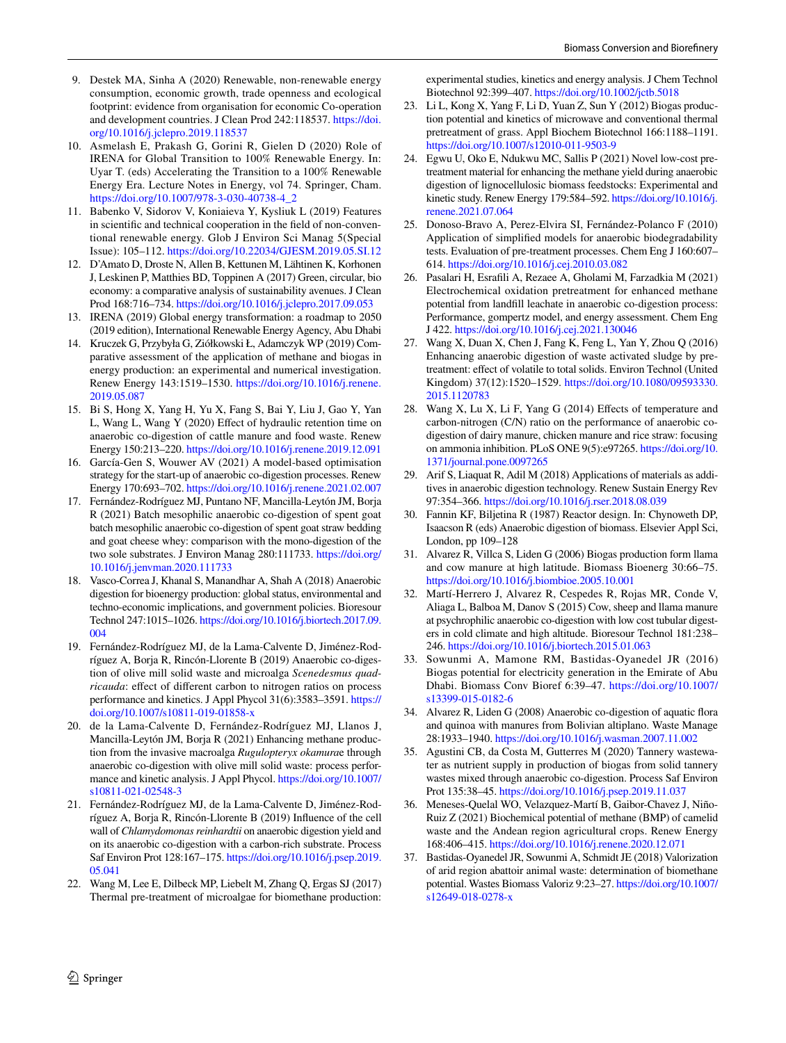- <span id="page-7-0"></span>9. Destek MA, Sinha A (2020) Renewable, non-renewable energy consumption, economic growth, trade openness and ecological footprint: evidence from organisation for economic Co-operation and development countries. J Clean Prod 242:118537. [https://doi.](https://doi.org/10.1016/j.jclepro.2019.118537) [org/10.1016/j.jclepro.2019.118537](https://doi.org/10.1016/j.jclepro.2019.118537)
- <span id="page-7-1"></span>10. Asmelash E, Prakash G, Gorini R, Gielen D (2020) Role of IRENA for Global Transition to 100% Renewable Energy. In: Uyar T. (eds) Accelerating the Transition to a 100% Renewable Energy Era. Lecture Notes in Energy, vol 74. Springer, Cham. [https://doi.org/10.1007/978-3-030-40738-4\\_2](https://doi.org/10.1007/978-3-030-40738-4_2)
- <span id="page-7-2"></span>11. Babenko V, Sidorov V, Koniaieva Y, Kysliuk L (2019) Features in scientifc and technical cooperation in the feld of non-conventional renewable energy. Glob J Environ Sci Manag 5(Special Issue): 105–112.<https://doi.org/10.22034/GJESM.2019.05.SI.12>
- <span id="page-7-3"></span>12. D'Amato D, Droste N, Allen B, Kettunen M, Lähtinen K, Korhonen J, Leskinen P, Matthies BD, Toppinen A (2017) Green, circular, bio economy: a comparative analysis of sustainability avenues. J Clean Prod 168:716–734. <https://doi.org/10.1016/j.jclepro.2017.09.053>
- <span id="page-7-4"></span>13. IRENA (2019) Global energy transformation: a roadmap to 2050 (2019 edition), International Renewable Energy Agency, Abu Dhabi
- <span id="page-7-5"></span>14. Kruczek G, Przybyła G, Ziółkowski Ł, Adamczyk WP (2019) Comparative assessment of the application of methane and biogas in energy production: an experimental and numerical investigation. Renew Energy 143:1519–1530. [https://doi.org/10.1016/j.renene.](https://doi.org/10.1016/j.renene.2019.05.087) [2019.05.087](https://doi.org/10.1016/j.renene.2019.05.087)
- <span id="page-7-6"></span>15. Bi S, Hong X, Yang H, Yu X, Fang S, Bai Y, Liu J, Gao Y, Yan L, Wang L, Wang Y (2020) Effect of hydraulic retention time on anaerobic co-digestion of cattle manure and food waste. Renew Energy 150:213–220.<https://doi.org/10.1016/j.renene.2019.12.091>
- <span id="page-7-7"></span>16. García-Gen S, Wouwer AV (2021) A model-based optimisation strategy for the start-up of anaerobic co-digestion processes. Renew Energy 170:693–702.<https://doi.org/10.1016/j.renene.2021.02.007>
- <span id="page-7-8"></span>17. Fernández-Rodríguez MJ, Puntano NF, Mancilla-Leytón JM, Borja R (2021) Batch mesophilic anaerobic co-digestion of spent goat batch mesophilic anaerobic co-digestion of spent goat straw bedding and goat cheese whey: comparison with the mono-digestion of the two sole substrates. J Environ Manag 280:111733. [https://doi.org/](https://doi.org/10.1016/j.jenvman.2020.111733) [10.1016/j.jenvman.2020.111733](https://doi.org/10.1016/j.jenvman.2020.111733)
- <span id="page-7-9"></span>18. Vasco-Correa J, Khanal S, Manandhar A, Shah A (2018) Anaerobic digestion for bioenergy production: global status, environmental and techno-economic implications, and government policies. Bioresour Technol 247:1015–1026. [https://doi.org/10.1016/j.biortech.2017.09.](https://doi.org/10.1016/j.biortech.2017.09.004) [004](https://doi.org/10.1016/j.biortech.2017.09.004)
- <span id="page-7-10"></span>19. Fernández-Rodríguez MJ, de la Lama-Calvente D, Jiménez-Rodríguez A, Borja R, Rincón-Llorente B (2019) Anaerobic co-digestion of olive mill solid waste and microalga *Scenedesmus quadricauda*: effect of different carbon to nitrogen ratios on process performance and kinetics. J Appl Phycol 31(6):3583–3591. [https://](https://doi.org/10.1007/s10811-019-01858-x) [doi.org/10.1007/s10811-019-01858-x](https://doi.org/10.1007/s10811-019-01858-x)
- <span id="page-7-11"></span>20. de la Lama-Calvente D, Fernández-Rodríguez MJ, Llanos J, Mancilla-Leytón JM, Borja R (2021) Enhancing methane production from the invasive macroalga *Rugulopteryx okamura*e through anaerobic co-digestion with olive mill solid waste: process performance and kinetic analysis. J Appl Phycol. [https://doi.org/10.1007/](https://doi.org/10.1007/s10811-021-02548-3) [s10811-021-02548-3](https://doi.org/10.1007/s10811-021-02548-3)
- <span id="page-7-12"></span>21. Fernández-Rodríguez MJ, de la Lama-Calvente D, Jiménez-Rodríguez A, Borja R, Rincón-Llorente B (2019) Infuence of the cell wall of *Chlamydomonas reinhardtii* on anaerobic digestion yield and on its anaerobic co-digestion with a carbon-rich substrate. Process Saf Environ Prot 128:167–175. [https://doi.org/10.1016/j.psep.2019.](https://doi.org/10.1016/j.psep.2019.05.041) [05.041](https://doi.org/10.1016/j.psep.2019.05.041)
- <span id="page-7-13"></span>22. Wang M, Lee E, Dilbeck MP, Liebelt M, Zhang Q, Ergas SJ (2017) Thermal pre-treatment of microalgae for biomethane production:

experimental studies, kinetics and energy analysis. J Chem Technol Biotechnol 92:399–407.<https://doi.org/10.1002/jctb.5018>

- <span id="page-7-14"></span>23. Li L, Kong X, Yang F, Li D, Yuan Z, Sun Y (2012) Biogas production potential and kinetics of microwave and conventional thermal pretreatment of grass. Appl Biochem Biotechnol 166:1188–1191. <https://doi.org/10.1007/s12010-011-9503-9>
- <span id="page-7-15"></span>24. Egwu U, Oko E, Ndukwu MC, Sallis P (2021) Novel low-cost pretreatment material for enhancing the methane yield during anaerobic digestion of lignocellulosic biomass feedstocks: Experimental and kinetic study. Renew Energy 179:584–592. [https://doi.org/10.1016/j.](https://doi.org/10.1016/j.renene.2021.07.064) [renene.2021.07.064](https://doi.org/10.1016/j.renene.2021.07.064)
- <span id="page-7-16"></span>25. Donoso-Bravo A, Perez-Elvira SI, Fernández-Polanco F (2010) Application of simplifed models for anaerobic biodegradability tests. Evaluation of pre-treatment processes. Chem Eng J 160:607– 614. <https://doi.org/10.1016/j.cej.2010.03.082>
- <span id="page-7-17"></span>26. Pasalari H, Esrafli A, Rezaee A, Gholami M, Farzadkia M (2021) Electrochemical oxidation pretreatment for enhanced methane potential from landfll leachate in anaerobic co-digestion process: Performance, gompertz model, and energy assessment. Chem Eng J 422. <https://doi.org/10.1016/j.cej.2021.130046>
- <span id="page-7-18"></span>27. Wang X, Duan X, Chen J, Fang K, Feng L, Yan Y, Zhou Q (2016) Enhancing anaerobic digestion of waste activated sludge by pretreatment: effect of volatile to total solids. Environ Technol (United Kingdom) 37(12):1520–1529. [https://doi.org/10.1080/09593330.](https://doi.org/10.1080/09593330.2015.1120783) [2015.1120783](https://doi.org/10.1080/09593330.2015.1120783)
- <span id="page-7-19"></span>28. Wang X, Lu X, Li F, Yang G (2014) Efects of temperature and carbon-nitrogen (C/N) ratio on the performance of anaerobic codigestion of dairy manure, chicken manure and rice straw: focusing on ammonia inhibition. PLoS ONE 9(5):e97265. [https://doi.org/10.](https://doi.org/10.1371/journal.pone.0097265) [1371/journal.pone.0097265](https://doi.org/10.1371/journal.pone.0097265)
- <span id="page-7-20"></span>29. Arif S, Liaquat R, Adil M (2018) Applications of materials as additives in anaerobic digestion technology. Renew Sustain Energy Rev 97:354–366.<https://doi.org/10.1016/j.rser.2018.08.039>
- <span id="page-7-21"></span>30. Fannin KF, Biljetina R (1987) Reactor design. In: Chynoweth DP, Isaacson R (eds) Anaerobic digestion of biomass. Elsevier Appl Sci, London, pp 109–128
- <span id="page-7-22"></span>31. Alvarez R, Villca S, Liden G (2006) Biogas production form llama and cow manure at high latitude. Biomass Bioenerg 30:66–75. <https://doi.org/10.1016/j.biombioe.2005.10.001>
- <span id="page-7-23"></span>32. Martí-Herrero J, Alvarez R, Cespedes R, Rojas MR, Conde V, Aliaga L, Balboa M, Danov S (2015) Cow, sheep and llama manure at psychrophilic anaerobic co-digestion with low cost tubular digesters in cold climate and high altitude. Bioresour Technol 181:238– 246. <https://doi.org/10.1016/j.biortech.2015.01.063>
- <span id="page-7-24"></span>33. Sowunmi A, Mamone RM, Bastidas-Oyanedel JR (2016) Biogas potential for electricity generation in the Emirate of Abu Dhabi. Biomass Conv Bioref 6:39–47. [https://doi.org/10.1007/](https://doi.org/10.1007/s13399-015-0182-6) [s13399-015-0182-6](https://doi.org/10.1007/s13399-015-0182-6)
- <span id="page-7-25"></span>34. Alvarez R, Liden G (2008) Anaerobic co-digestion of aquatic fora and quinoa with manures from Bolivian altiplano. Waste Manage 28:1933–1940.<https://doi.org/10.1016/j.wasman.2007.11.002>
- <span id="page-7-26"></span>35. Agustini CB, da Costa M, Gutterres M (2020) Tannery wastewater as nutrient supply in production of biogas from solid tannery wastes mixed through anaerobic co-digestion. Process Saf Environ Prot 135:38–45. <https://doi.org/10.1016/j.psep.2019.11.037>
- <span id="page-7-27"></span>36. Meneses-Quelal WO, Velazquez-Martí B, Gaibor-Chavez J, Niño-Ruiz Z (2021) Biochemical potential of methane (BMP) of camelid waste and the Andean region agricultural crops. Renew Energy 168:406–415.<https://doi.org/10.1016/j.renene.2020.12.071>
- <span id="page-7-28"></span>37. Bastidas-Oyanedel JR, Sowunmi A, Schmidt JE (2018) Valorization of arid region abattoir animal waste: determination of biomethane potential. Wastes Biomass Valoriz 9:23–27. [https://doi.org/10.1007/](https://doi.org/10.1007/s12649-018-0278-x) [s12649-018-0278-x](https://doi.org/10.1007/s12649-018-0278-x)